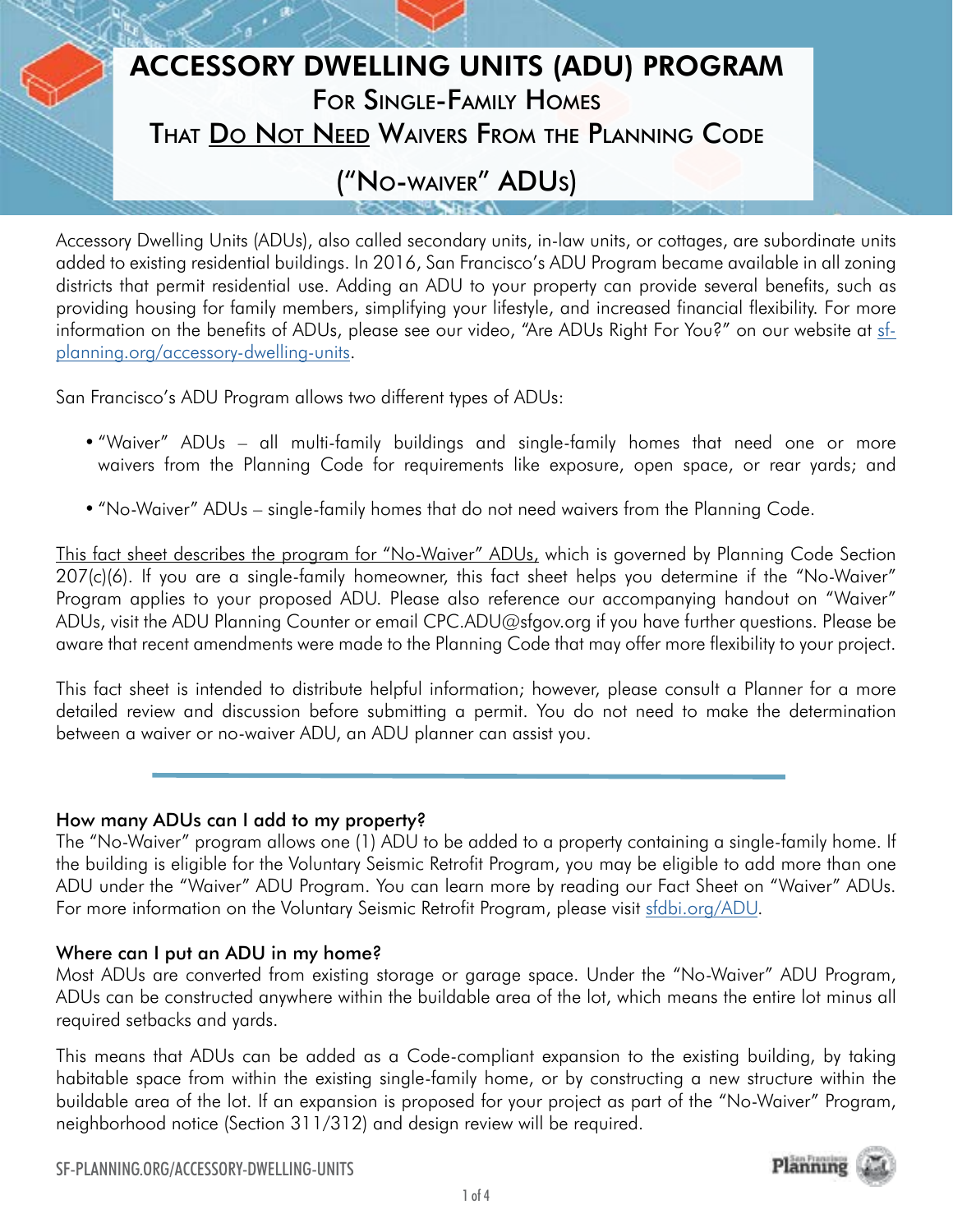# ACCESSORY DWELLING UNITS (ADU) PROGRAM For Single-Family Homes THAT DO NOT NEED WAIVERS FROM THE PLANNING CODE

# ("No-waiver" ADUs)

Accessory Dwelling Units (ADUs), also called secondary units, in-law units, or cottages, are subordinate units added to existing residential buildings. In 2016, San Francisco's ADU Program became available in all zoning districts that permit residential use. Adding an ADU to your property can provide several benefits, such as providing housing for family members, simplifying your lifestyle, and increased financial flexibility. For more information on the benefits of ADUs, please see our video, "Are ADUs Right For You?" on our website at [sf](http://sf-planning.org/accessory-dwelling-units)[planning.org/accessory-dwelling-units.](http://sf-planning.org/accessory-dwelling-units)

San Francisco's ADU Program allows two different types of ADUs:

- "Waiver" ADUs all multi-family buildings and single-family homes that need one or more waivers from the Planning Code for requirements like exposure, open space, or rear yards; and
- "No-Waiver" ADUs single-family homes that do not need waivers from the Planning Code.

This fact sheet describes the program for "No-Waiver" ADUs, which is governed by Planning Code Section 207(c)(6). If you are a single-family homeowner, this fact sheet helps you determine if the "No-Waiver" Program applies to your proposed ADU. Please also reference our accompanying handout on "Waiver" ADUs, visit the ADU Planning Counter or email CPC.ADU@sfgov.org if you have further questions. Please be aware that recent amendments were made to the Planning Code that may offer more flexibility to your project.

This fact sheet is intended to distribute helpful information; however, please consult a Planner for a more detailed review and discussion before submitting a permit. You do not need to make the determination between a waiver or no-waiver ADU, an ADU planner can assist you.

# How many ADUs can I add to my property?

The "No-Waiver" program allows one (1) ADU to be added to a property containing a single-family home. If the building is eligible for the Voluntary Seismic Retrofit Program, you may be eligible to add more than one ADU under the "Waiver" ADU Program. You can learn more by reading our Fact Sheet on "Waiver" ADUs. For more information on the Voluntary Seismic Retrofit Program, please visit [sfdbi.org/ADU.](http://sfdbi.org/ADU)

# Where can I put an ADU in my home?

Most ADUs are converted from existing storage or garage space. Under the "No-Waiver" ADU Program, ADUs can be constructed anywhere within the buildable area of the lot, which means the entire lot minus all required setbacks and yards.

This means that ADUs can be added as a Code-compliant expansion to the existing building, by taking habitable space from within the existing single-family home, or by constructing a new structure within the buildable area of the lot. If an expansion is proposed for your project as part of the "No-Waiver" Program, neighborhood notice (Section 311/312) and design review will be required.



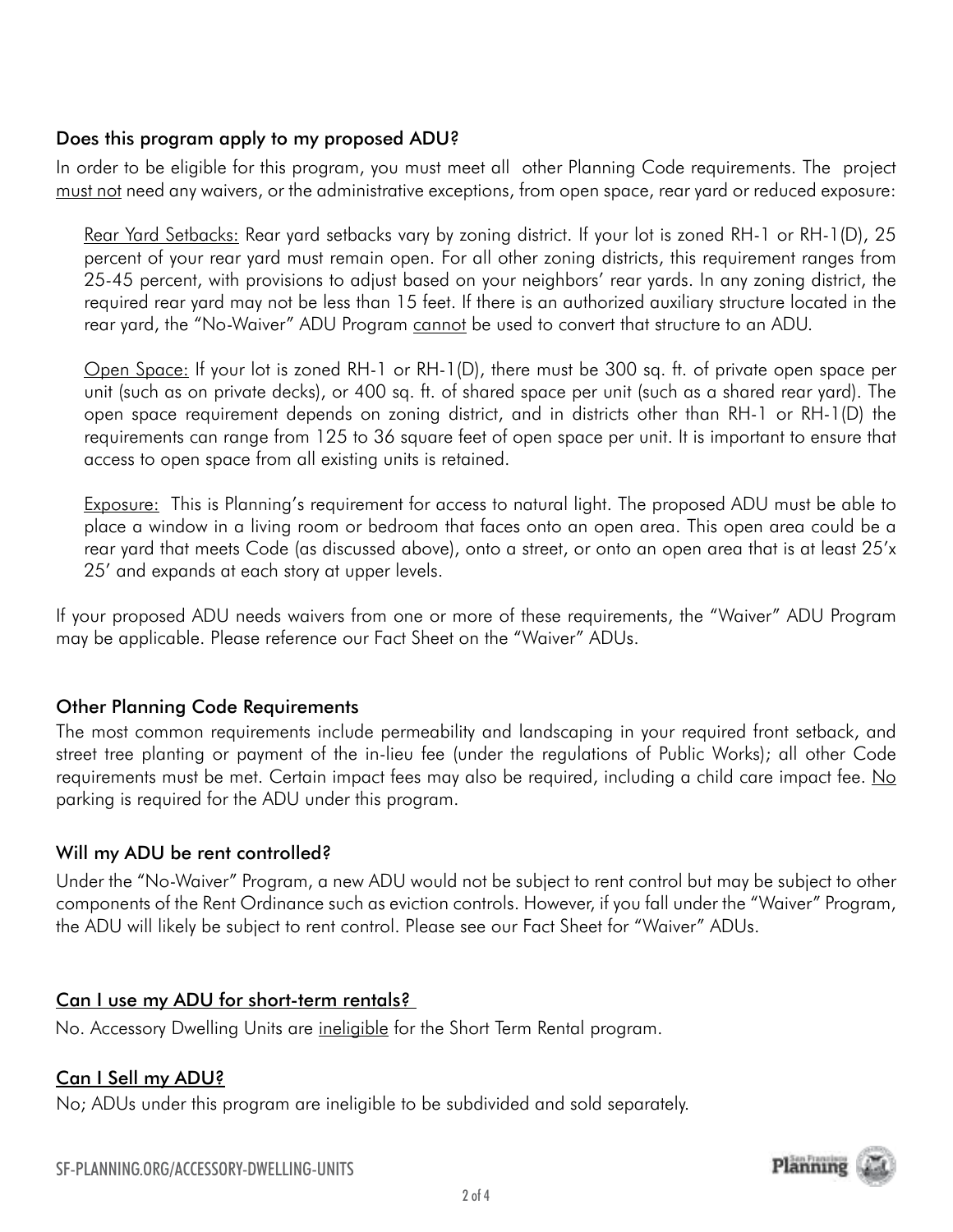#### Does this program apply to my proposed ADU?

In order to be eligible for this program, you must meet all other Planning Code requirements. The project must not need any waivers, or the administrative exceptions, from open space, rear yard or reduced exposure:

Rear Yard Setbacks: Rear yard setbacks vary by zoning district. If your lot is zoned RH-1 or RH-1(D), 25 percent of your rear yard must remain open. For all other zoning districts, this requirement ranges from 25-45 percent, with provisions to adjust based on your neighbors' rear yards. In any zoning district, the required rear yard may not be less than 15 feet. If there is an authorized auxiliary structure located in the rear yard, the "No-Waiver" ADU Program cannot be used to convert that structure to an ADU.

Open Space: If your lot is zoned RH-1 or RH-1(D), there must be 300 sq. ft. of private open space per unit (such as on private decks), or 400 sq. ft. of shared space per unit (such as a shared rear yard). The open space requirement depends on zoning district, and in districts other than RH-1 or RH-1(D) the requirements can range from 125 to 36 square feet of open space per unit. It is important to ensure that access to open space from all existing units is retained.

Exposure: This is Planning's requirement for access to natural light. The proposed ADU must be able to place a window in a living room or bedroom that faces onto an open area. This open area could be a rear yard that meets Code (as discussed above), onto a street, or onto an open area that is at least 25'x 25' and expands at each story at upper levels.

If your proposed ADU needs waivers from one or more of these requirements, the "Waiver" ADU Program may be applicable. Please reference our Fact Sheet on the "Waiver" ADUs.

# Other Planning Code Requirements

The most common requirements include permeability and landscaping in your required front setback, and street tree planting or payment of the in-lieu fee (under the regulations of Public Works); all other Code requirements must be met. Certain impact fees may also be required, including a child care impact fee. No parking is required for the ADU under this program.

# Will my ADU be rent controlled?

Under the "No-Waiver" Program, a new ADU would not be subject to rent control but may be subject to other components of the Rent Ordinance such as eviction controls. However, if you fall under the "Waiver" Program, the ADU will likely be subject to rent control. Please see our Fact Sheet for "Waiver" ADUs.

# Can I use my ADU for short-term rentals?

No. Accessory Dwelling Units are ineligible for the Short Term Rental program.

#### Can I Sell my ADU?

No; ADUs under this program are ineligible to be subdivided and sold separately.

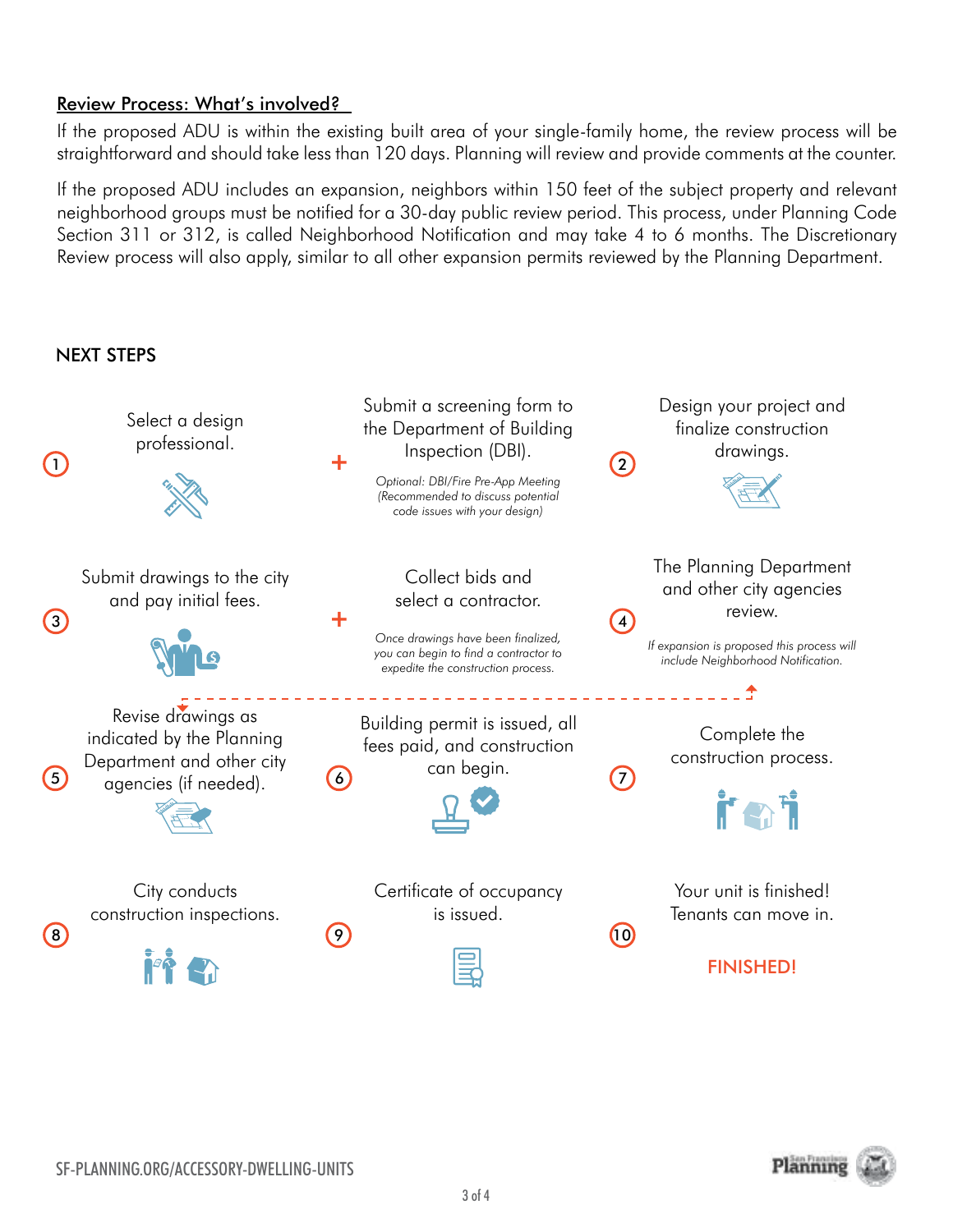#### Review Process: What's involved?

If the proposed ADU is within the existing built area of your single-family home, the review process will be straightforward and should take less than 120 days. Planning will review and provide comments at the counter.

If the proposed ADU includes an expansion, neighbors within 150 feet of the subject property and relevant neighborhood groups must be notified for a 30-day public review period. This process, under Planning Code Section 311 or 312, is called Neighborhood Notification and may take 4 to 6 months. The Discretionary Review process will also apply, similar to all other expansion permits reviewed by the Planning Department.

#### NEXT STEPS